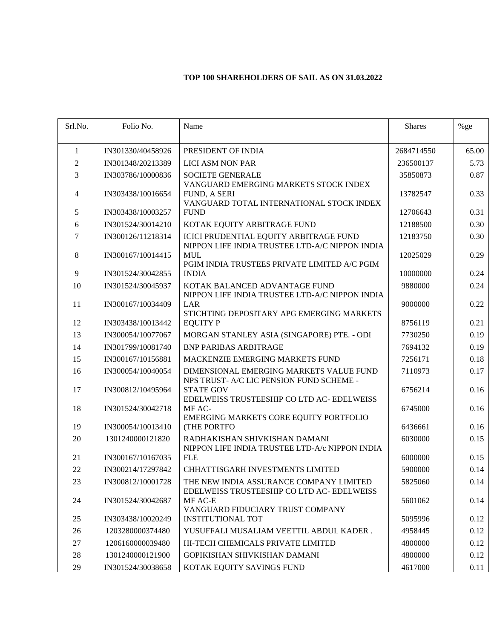## **TOP 100 SHAREHOLDERS OF SAIL AS ON 31.03.2022**

| Srl.No.        | Folio No.         | Name                                                                                              | <b>Shares</b> | $%$ ge |
|----------------|-------------------|---------------------------------------------------------------------------------------------------|---------------|--------|
| 1              | IN301330/40458926 | PRESIDENT OF INDIA                                                                                | 2684714550    | 65.00  |
| $\mathfrak{2}$ | IN301348/20213389 | <b>LICI ASM NON PAR</b>                                                                           | 236500137     | 5.73   |
| 3              | IN303786/10000836 | <b>SOCIETE GENERALE</b>                                                                           | 35850873      | 0.87   |
| $\overline{4}$ | IN303438/10016654 | VANGUARD EMERGING MARKETS STOCK INDEX<br>FUND, A SERI<br>VANGUARD TOTAL INTERNATIONAL STOCK INDEX | 13782547      | 0.33   |
| 5              | IN303438/10003257 | <b>FUND</b>                                                                                       | 12706643      | 0.31   |
| 6              | IN301524/30014210 | KOTAK EQUITY ARBITRAGE FUND                                                                       | 12188500      | 0.30   |
| 7              | IN300126/11218314 | ICICI PRUDENTIAL EQUITY ARBITRAGE FUND<br>NIPPON LIFE INDIA TRUSTEE LTD-A/C NIPPON INDIA          | 12183750      | 0.30   |
| 8              | IN300167/10014415 | <b>MUL</b><br>PGIM INDIA TRUSTEES PRIVATE LIMITED A/C PGIM                                        | 12025029      | 0.29   |
| 9              | IN301524/30042855 | <b>INDIA</b>                                                                                      | 10000000      | 0.24   |
| 10             | IN301524/30045937 | KOTAK BALANCED ADVANTAGE FUND                                                                     | 9880000       | 0.24   |
| 11             | IN300167/10034409 | NIPPON LIFE INDIA TRUSTEE LTD-A/C NIPPON INDIA<br><b>LAR</b>                                      | 9000000       | 0.22   |
| 12             | IN303438/10013442 | STICHTING DEPOSITARY APG EMERGING MARKETS<br><b>EQUITY P</b>                                      | 8756119       | 0.21   |
| 13             | IN300054/10077067 | MORGAN STANLEY ASIA (SINGAPORE) PTE. - ODI                                                        | 7730250       | 0.19   |
| 14             | IN301799/10081740 | <b>BNP PARIBAS ARBITRAGE</b>                                                                      | 7694132       | 0.19   |
| 15             | IN300167/10156881 | MACKENZIE EMERGING MARKETS FUND                                                                   | 7256171       | 0.18   |
| 16             | IN300054/10040054 | DIMENSIONAL EMERGING MARKETS VALUE FUND<br>NPS TRUST- A/C LIC PENSION FUND SCHEME -               | 7110973       | 0.17   |
| 17             | IN300812/10495964 | <b>STATE GOV</b><br>EDELWEISS TRUSTEESHIP CO LTD AC- EDELWEISS                                    | 6756214       | 0.16   |
| 18             | IN301524/30042718 | MF AC-<br>EMERGING MARKETS CORE EQUITY PORTFOLIO                                                  | 6745000       | 0.16   |
| 19             | IN300054/10013410 | (THE PORTFO                                                                                       | 6436661       | 0.16   |
| 20             | 1301240000121820  | RADHAKISHAN SHIVKISHAN DAMANI<br>NIPPON LIFE INDIA TRUSTEE LTD-A/c NIPPON INDIA                   | 6030000       | 0.15   |
| 21             | IN300167/10167035 | <b>FLE</b>                                                                                        | 6000000       | 0.15   |
| 22             | IN300214/17297842 | CHHATTISGARH INVESTMENTS LIMITED                                                                  | 5900000       | 0.14   |
| 23             | IN300812/10001728 | THE NEW INDIA ASSURANCE COMPANY LIMITED<br>EDELWEISS TRUSTEESHIP CO LTD AC- EDELWEISS             | 5825060       | 0.14   |
| 24             | IN301524/30042687 | MF AC-E<br>VANGUARD FIDUCIARY TRUST COMPANY                                                       | 5601062       | 0.14   |
| 25             | IN303438/10020249 | <b>INSTITUTIONAL TOT</b>                                                                          | 5095996       | 0.12   |
| 26             | 1203280000374480  | YUSUFFALI MUSALIAM VEETTIL ABDUL KADER.                                                           | 4958445       | 0.12   |
| 27             | 1206160000039480  | HI-TECH CHEMICALS PRIVATE LIMITED                                                                 | 4800000       | 0.12   |
| 28             | 1301240000121900  | GOPIKISHAN SHIVKISHAN DAMANI                                                                      | 4800000       | 0.12   |
| 29             | IN301524/30038658 | KOTAK EQUITY SAVINGS FUND                                                                         | 4617000       | 0.11   |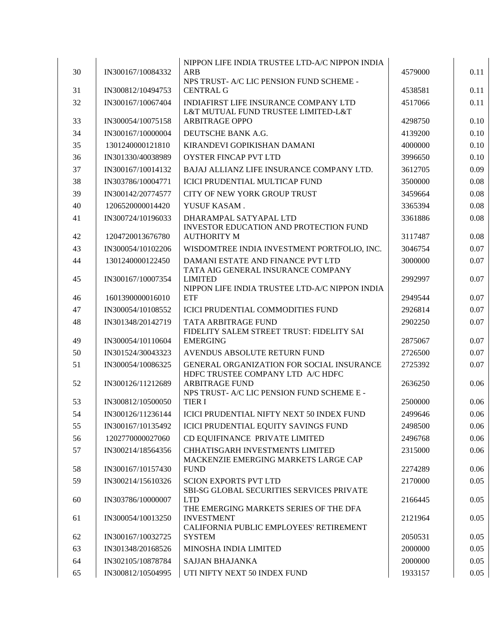| 30       | IN300167/10084332                      | NIPPON LIFE INDIA TRUSTEE LTD-A/C NIPPON INDIA<br><b>ARB</b><br>NPS TRUST- A/C LIC PENSION FUND SCHEME - | 4579000            | 0.11         |
|----------|----------------------------------------|----------------------------------------------------------------------------------------------------------|--------------------|--------------|
| 31       | IN300812/10494753                      | <b>CENTRAL G</b>                                                                                         | 4538581            | 0.11         |
| 32       | IN300167/10067404                      | <b>INDIAFIRST LIFE INSURANCE COMPANY LTD</b><br>L&T MUTUAL FUND TRUSTEE LIMITED-L&T                      | 4517066            | 0.11         |
| 33       | IN300054/10075158                      | <b>ARBITRAGE OPPO</b>                                                                                    | 4298750            | 0.10         |
| 34       | IN300167/10000004                      | DEUTSCHE BANK A.G.                                                                                       | 4139200            | 0.10         |
| 35       | 1301240000121810                       | KIRANDEVI GOPIKISHAN DAMANI                                                                              | 4000000            | 0.10         |
| 36       | IN301330/40038989                      | <b>OYSTER FINCAP PVT LTD</b>                                                                             | 3996650            | 0.10         |
| 37       | IN300167/10014132                      | BAJAJ ALLIANZ LIFE INSURANCE COMPANY LTD.                                                                | 3612705            | 0.09         |
| 38       | IN303786/10004771                      | ICICI PRUDENTIAL MULTICAP FUND                                                                           | 3500000            | 0.08         |
| 39       | IN300142/20774577                      | CITY OF NEW YORK GROUP TRUST                                                                             | 3459664            | 0.08         |
| 40       | 1206520000014420                       | YUSUF KASAM.                                                                                             | 3365394            | 0.08         |
| 41       | IN300724/10196033                      | DHARAMPAL SATYAPAL LTD<br>INVESTOR EDUCATION AND PROTECTION FUND                                         | 3361886            | 0.08         |
| 42       | 1204720013676780                       | <b>AUTHORITY M</b>                                                                                       | 3117487            | 0.08         |
| 43       | IN300054/10102206                      | WISDOMTREE INDIA INVESTMENT PORTFOLIO, INC.                                                              | 3046754            | 0.07         |
| 44       | 1301240000122450                       | DAMANI ESTATE AND FINANCE PVT LTD<br>TATA AIG GENERAL INSURANCE COMPANY                                  | 3000000            | 0.07         |
| 45       | IN300167/10007354                      | <b>LIMITED</b><br>NIPPON LIFE INDIA TRUSTEE LTD-A/C NIPPON INDIA                                         | 2992997            | 0.07         |
| 46       | 1601390000016010                       | <b>ETF</b>                                                                                               | 2949544            | 0.07         |
| 47       | IN300054/10108552                      | ICICI PRUDENTIAL COMMODITIES FUND                                                                        | 2926814            | 0.07         |
| 48       | IN301348/20142719                      | TATA ARBITRAGE FUND<br>FIDELITY SALEM STREET TRUST: FIDELITY SAI                                         | 2902250            | 0.07         |
| 49<br>50 | IN300054/10110604                      | <b>EMERGING</b>                                                                                          | 2875067            | 0.07<br>0.07 |
|          | IN301524/30043323                      | AVENDUS ABSOLUTE RETURN FUND<br>GENERAL ORGANIZATION FOR SOCIAL INSURANCE                                | 2726500            |              |
| 51<br>52 | IN300054/10086325<br>IN300126/11212689 | HDFC TRUSTEE COMPANY LTD A/C HDFC<br><b>ARBITRAGE FUND</b>                                               | 2725392<br>2636250 | 0.07<br>0.06 |
|          |                                        | NPS TRUST- A/C LIC PENSION FUND SCHEME E -                                                               |                    |              |
| 53       | IN300812/10500050                      | <b>TIER I</b>                                                                                            | 2500000            | 0.06         |
| 54       | IN300126/11236144                      | ICICI PRUDENTIAL NIFTY NEXT 50 INDEX FUND                                                                | 2499646            | 0.06         |
| 55       | IN300167/10135492                      | ICICI PRUDENTIAL EQUITY SAVINGS FUND                                                                     | 2498500            | 0.06         |
| 56       | 1202770000027060                       | CD EQUIFINANCE PRIVATE LIMITED                                                                           | 2496768            | 0.06         |
| 57       | IN300214/18564356                      | CHHATISGARH INVESTMENTS LIMITED<br>MACKENZIE EMERGING MARKETS LARGE CAP                                  | 2315000            | 0.06         |
| 58       | IN300167/10157430                      | <b>FUND</b>                                                                                              | 2274289            | 0.06         |
| 59       | IN300214/15610326                      | <b>SCION EXPORTS PVT LTD</b><br>SBI-SG GLOBAL SECURITIES SERVICES PRIVATE                                | 2170000            | 0.05         |
| 60       | IN303786/10000007                      | <b>LTD</b><br>THE EMERGING MARKETS SERIES OF THE DFA                                                     | 2166445            | 0.05         |
| 61       | IN300054/10013250                      | <b>INVESTMENT</b><br>CALIFORNIA PUBLIC EMPLOYEES' RETIREMENT                                             | 2121964            | 0.05         |
| 62       | IN300167/10032725                      | <b>SYSTEM</b>                                                                                            | 2050531            | 0.05         |
| 63       | IN301348/20168526                      | MINOSHA INDIA LIMITED                                                                                    | 2000000            | 0.05         |
| 64       | IN302105/10878784                      | <b>SAJJAN BHAJANKA</b>                                                                                   | 2000000            | 0.05         |
| 65       | IN300812/10504995                      | UTI NIFTY NEXT 50 INDEX FUND                                                                             | 1933157            | 0.05         |